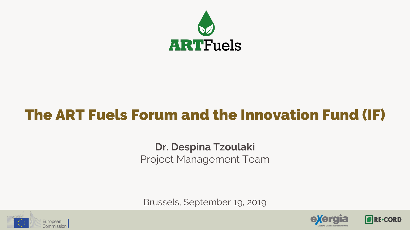

# **The ART Fuels Forum and the Innovation Fund (IF)**

### **Dr. Despina Tzoulaki** Project Management Team

Brussels, September 19, 2019





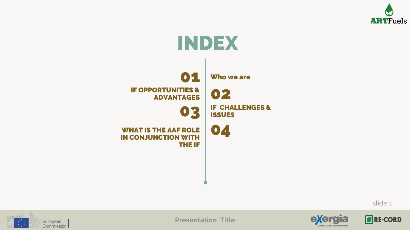





**RE-CORD** 





**Presentation Title**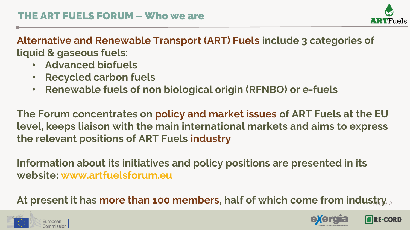

**ORF-CORD** 

**Alternative and Renewable Transport (ART) Fuels include 3 categories of liquid & gaseous fuels:**

- **Advanced biofuels**
- **Recycled carbon fuels**
- **Renewable fuels of non biological origin (RFNBO) or e-fuels**

**The Forum concentrates on policy and market issues of ART Fuels at the EU level, keeps liaison with the main international markets and aims to express the relevant positions of ART Fuels industry**

**Information about its initiatives and policy positions are presented in its website: [www.artfuelsforum.eu](http://www.artfuelsforum.eu/)**

At present it has **more than 100 members, half of which come from indus<u>try**  $_2$ **</u>** 



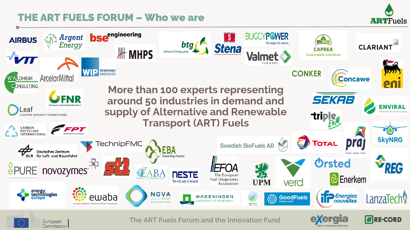#### **ART FUELS FORUM – Who we are**

Commission **I** 



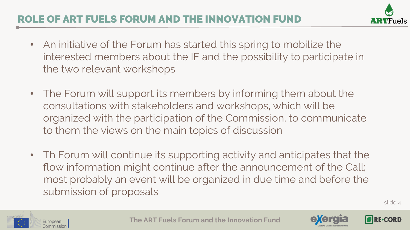- An initiative of the Forum has started this spring to mobilize the interested members about the IF and the possibility to participate in the two relevant workshops
- The Forum will support its members by informing them about the consultations with stakeholders and workshops**,** which will be organized with the participation of the Commission, to communicate to them the views on the main topics of discussion
- Th Forum will continue its supporting activity and anticipates that the flow information might continue after the announcement of the Call; most probably an event will be organized in due time and before the submission of proposals

slide 4